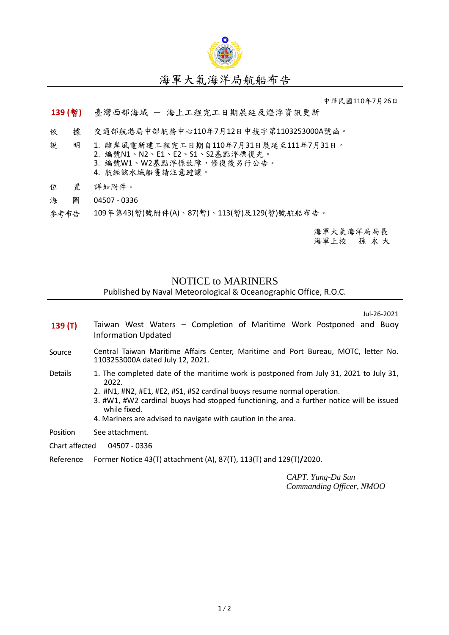

## 海軍大氣海洋局航船布告

中華民國110年7月26日

## **139 (**暫**)** 臺灣西部海域 - 海上工程完工日期展延及燈浮資訊更新

- 依 據 交通部航港局中部航務中心110年7月12日中技字第1103253000A號函。
- 說 明 1. 離岸風電新建工程完工日期自110年7月31日展延至111年7月31日。 2. 編號N1、N2、E1、E2、S1、S2基點浮標復光。 3. 編號W1、W2基點浮標故障,修復後另行公告。 4. 航經該水域船隻請注意避讓。
- 位 置 詳如附件。
- 海 圖 04507 0336
- 參考布告 109年第43(暫)號附件(A)、87(暫)、113(暫)及129(暫)號航船布告。

海軍大氣海洋局局長 海軍上校 孫 永 大

## NOTICE to MARINERS

## Published by Naval Meteorological & Oceanographic Office, R.O.C.

Jul-26-2021

- **139 (T)** Taiwan West Waters Completion of Maritime Work Postponed and Buoy Information Updated
- Source Central Taiwan Maritime Affairs Center, Maritime and Port Bureau, MOTC, letter No. 1103253000A dated July 12, 2021.
- Details 1. The completed date of the maritime work is postponed from July 31, 2021 to July 31, 2022.
	- 2. #N1, #N2, #E1, #E2, #S1, #S2 cardinal buoys resume normal operation.
	- 3. #W1, #W2 cardinal buoys had stopped functioning, and a further notice will be issued while fixed.
	- 4. Mariners are advised to navigate with caution in the area.
- Position See attachment.
- Chart affected 04507 0336
- Reference Former Notice 43(T) attachment (A), 87(T), 113(T) and 129(T)**/**2020.

*CAPT. Yung-Da Sun Commanding Officer, NMOO*